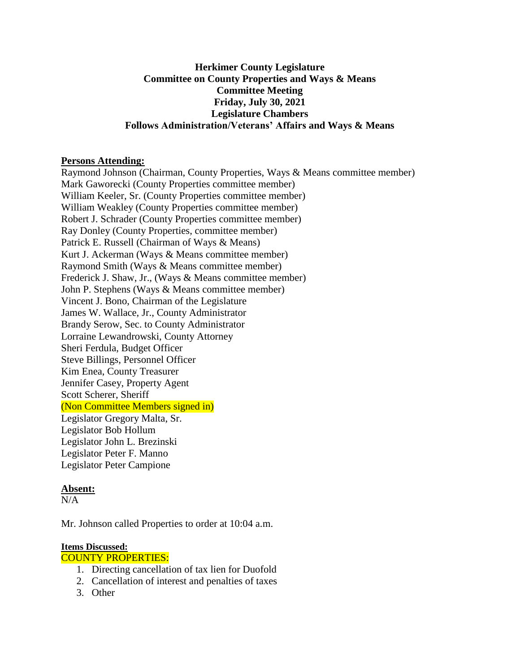## **Herkimer County Legislature Committee on County Properties and Ways & Means Committee Meeting Friday, July 30, 2021 Legislature Chambers Follows Administration/Veterans' Affairs and Ways & Means**

### **Persons Attending:**

Raymond Johnson (Chairman, County Properties, Ways & Means committee member) Mark Gaworecki (County Properties committee member) William Keeler, Sr. (County Properties committee member) William Weakley (County Properties committee member) Robert J. Schrader (County Properties committee member) Ray Donley (County Properties, committee member) Patrick E. Russell (Chairman of Ways & Means) Kurt J. Ackerman (Ways & Means committee member) Raymond Smith (Ways & Means committee member) Frederick J. Shaw, Jr., (Ways & Means committee member) John P. Stephens (Ways & Means committee member) Vincent J. Bono, Chairman of the Legislature James W. Wallace, Jr., County Administrator Brandy Serow, Sec. to County Administrator Lorraine Lewandrowski, County Attorney Sheri Ferdula, Budget Officer Steve Billings, Personnel Officer Kim Enea, County Treasurer Jennifer Casey, Property Agent Scott Scherer, Sheriff (Non Committee Members signed in) Legislator Gregory Malta, Sr. Legislator Bob Hollum Legislator John L. Brezinski Legislator Peter F. Manno Legislator Peter Campione

## **Absent:**

 $N/A$ 

Mr. Johnson called Properties to order at 10:04 a.m.

## **Items Discussed:**

#### COUNTY PROPERTIES:

- 1. Directing cancellation of tax lien for Duofold
- 2. Cancellation of interest and penalties of taxes
- 3. Other